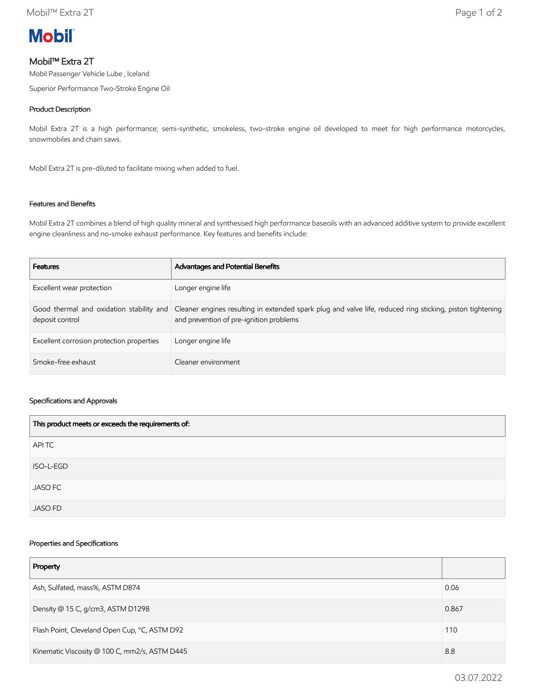

# Mobil™ Extra 2T

Mobil Passenger Vehicle Lube , Iceland

Superior Performance Two-Stroke Engine Oil

### Product Description

Mobil Extra 2T is a high performance; semi-synthetic, smokeless, two-stroke engine oil developed to meet for high performance motorcycles, snowmobiles and chain saws.

Mobil Extra 2T is pre-diluted to facilitate mixing when added to fuel.

### Features and Benefits

Mobil Extra 2T combines a blend of high quality mineral and synthesised high performance baseoils with an advanced additive system to provide excellent engine cleanliness and no-smoke exhaust performance. Key features and benefits include:

| <b>Features</b>                           | Advantages and Potential Benefits                                                                                                                                                             |
|-------------------------------------------|-----------------------------------------------------------------------------------------------------------------------------------------------------------------------------------------------|
| Excellent wear protection                 | Longer engine life                                                                                                                                                                            |
| deposit control                           | Good thermal and oxidation stability and Cleaner engines resulting in extended spark plug and valve life, reduced ring sticking, piston tightening<br>and prevention of pre-ignition problems |
| Excellent corrosion protection properties | Longer engine life                                                                                                                                                                            |
| Smoke-free exhaust                        | Cleaner environment                                                                                                                                                                           |

#### Specifications and Approvals

| This product meets or exceeds the requirements of: |
|----------------------------------------------------|
| APITC                                              |
| ISO-L-EGD                                          |
| <b>JASO FC</b>                                     |
| <b>JASO FD</b>                                     |

### Properties and Specifications

| Property                                      |       |
|-----------------------------------------------|-------|
| Ash, Sulfated, mass%, ASTM D874               | 0.06  |
| Density @ 15 C, g/cm3, ASTM D1298             | 0.867 |
| Flash Point, Cleveland Open Cup, °C, ASTM D92 |       |
| Kinematic Viscosity @ 100 C, mm2/s, ASTM D445 |       |